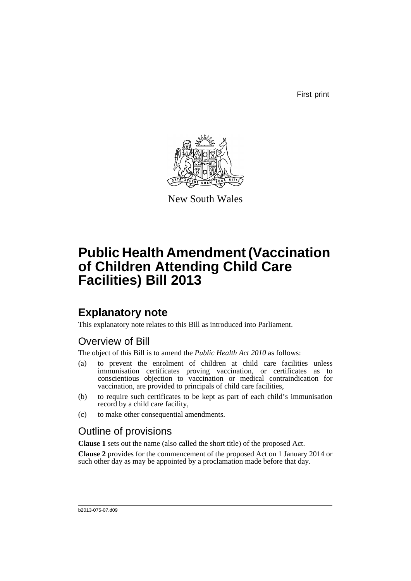First print



New South Wales

# **Public Health Amendment (Vaccination of Children Attending Child Care Facilities) Bill 2013**

## **Explanatory note**

This explanatory note relates to this Bill as introduced into Parliament.

## Overview of Bill

The object of this Bill is to amend the *Public Health Act 2010* as follows:

- (a) to prevent the enrolment of children at child care facilities unless immunisation certificates proving vaccination, or certificates as to conscientious objection to vaccination or medical contraindication for vaccination, are provided to principals of child care facilities,
- (b) to require such certificates to be kept as part of each child's immunisation record by a child care facility,
- (c) to make other consequential amendments.

### Outline of provisions

**Clause 1** sets out the name (also called the short title) of the proposed Act.

**Clause 2** provides for the commencement of the proposed Act on 1 January 2014 or such other day as may be appointed by a proclamation made before that day.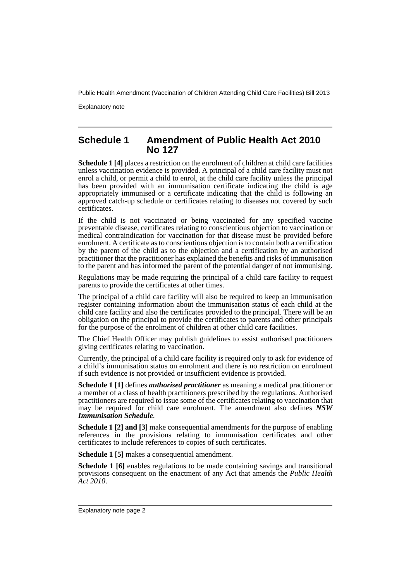Explanatory note

### **Schedule 1 Amendment of Public Health Act 2010 No 127**

**Schedule 1 [4]** places a restriction on the enrolment of children at child care facilities unless vaccination evidence is provided. A principal of a child care facility must not enrol a child, or permit a child to enrol, at the child care facility unless the principal has been provided with an immunisation certificate indicating the child is age appropriately immunised or a certificate indicating that the child is following an approved catch-up schedule or certificates relating to diseases not covered by such certificates.

If the child is not vaccinated or being vaccinated for any specified vaccine preventable disease, certificates relating to conscientious objection to vaccination or medical contraindication for vaccination for that disease must be provided before enrolment. A certificate as to conscientious objection is to contain both a certification by the parent of the child as to the objection and a certification by an authorised practitioner that the practitioner has explained the benefits and risks of immunisation to the parent and has informed the parent of the potential danger of not immunising.

Regulations may be made requiring the principal of a child care facility to request parents to provide the certificates at other times.

The principal of a child care facility will also be required to keep an immunisation register containing information about the immunisation status of each child at the child care facility and also the certificates provided to the principal. There will be an obligation on the principal to provide the certificates to parents and other principals for the purpose of the enrolment of children at other child care facilities.

The Chief Health Officer may publish guidelines to assist authorised practitioners giving certificates relating to vaccination.

Currently, the principal of a child care facility is required only to ask for evidence of a child's immunisation status on enrolment and there is no restriction on enrolment if such evidence is not provided or insufficient evidence is provided.

**Schedule 1 [1]** defines *authorised practitioner* as meaning a medical practitioner or a member of a class of health practitioners prescribed by the regulations. Authorised practitioners are required to issue some of the certificates relating to vaccination that may be required for child care enrolment. The amendment also defines *NSW Immunisation Schedule*.

**Schedule 1 [2] and [3]** make consequential amendments for the purpose of enabling references in the provisions relating to immunisation certificates and other certificates to include references to copies of such certificates.

**Schedule 1 [5]** makes a consequential amendment.

**Schedule 1 [6]** enables regulations to be made containing savings and transitional provisions consequent on the enactment of any Act that amends the *Public Health Act 2010*.

Explanatory note page 2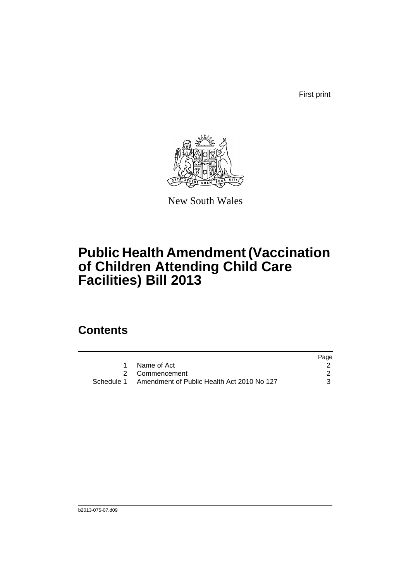First print



New South Wales

# **Public Health Amendment (Vaccination of Children Attending Child Care Facilities) Bill 2013**

## **Contents**

|                                                       | Page |
|-------------------------------------------------------|------|
| 1 Name of Act                                         |      |
| 2 Commencement                                        |      |
| Schedule 1 Amendment of Public Health Act 2010 No 127 |      |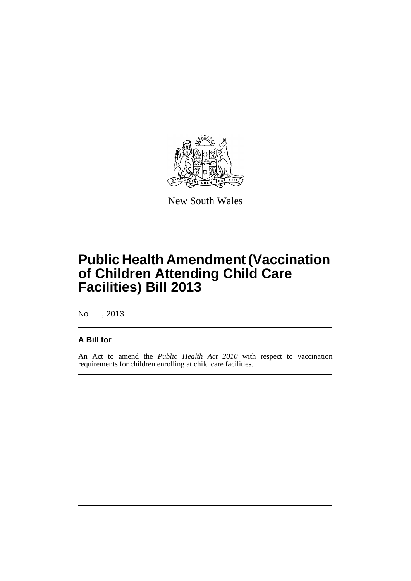

New South Wales

# **Public Health Amendment (Vaccination of Children Attending Child Care Facilities) Bill 2013**

No , 2013

### **A Bill for**

An Act to amend the *Public Health Act 2010* with respect to vaccination requirements for children enrolling at child care facilities.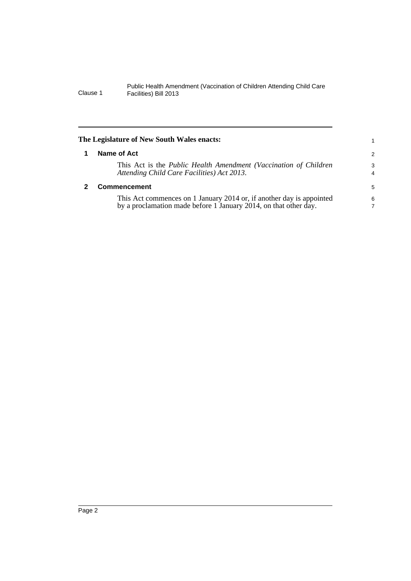<span id="page-5-1"></span><span id="page-5-0"></span>

|   | The Legislature of New South Wales enacts:                                                                                               | 1             |
|---|------------------------------------------------------------------------------------------------------------------------------------------|---------------|
| 1 | Name of Act                                                                                                                              | $\mathcal{P}$ |
|   | This Act is the Public Health Amendment (Vaccination of Children<br>Attending Child Care Facilities) Act 2013.                           | 3<br>4        |
|   | <b>Commencement</b>                                                                                                                      | 5             |
|   | This Act commences on 1 January 2014 or, if another day is appointed<br>by a proclamation made before 1 January 2014, on that other day. | 6<br>7        |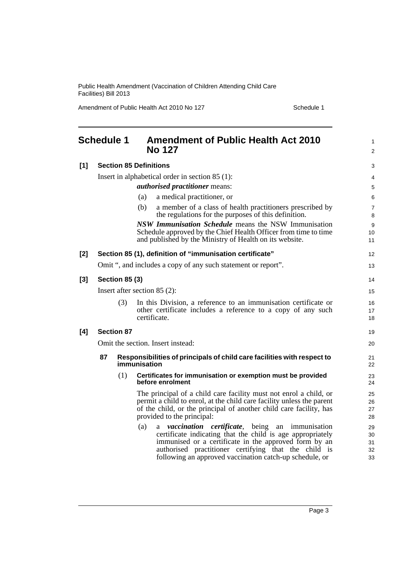Amendment of Public Health Act 2010 No 127 Schedule 1

<span id="page-6-0"></span>

|                                | <b>Schedule 1</b>                                                                             |                   | <b>Amendment of Public Health Act 2010</b><br><b>No 127</b>                                                                                                                                                                                                                                                     | 1<br>2                     |
|--------------------------------|-----------------------------------------------------------------------------------------------|-------------------|-----------------------------------------------------------------------------------------------------------------------------------------------------------------------------------------------------------------------------------------------------------------------------------------------------------------|----------------------------|
| $[1]$                          |                                                                                               |                   | <b>Section 85 Definitions</b>                                                                                                                                                                                                                                                                                   | 3                          |
|                                |                                                                                               |                   | Insert in alphabetical order in section $85(1)$ :                                                                                                                                                                                                                                                               | 4                          |
|                                |                                                                                               |                   | <i>authorised practitioner</i> means:                                                                                                                                                                                                                                                                           | 5                          |
|                                |                                                                                               |                   | a medical practitioner, or<br>(a)                                                                                                                                                                                                                                                                               | 6                          |
|                                |                                                                                               |                   | (b)<br>a member of a class of health practitioners prescribed by<br>the regulations for the purposes of this definition.                                                                                                                                                                                        | 7<br>8                     |
|                                |                                                                                               |                   | NSW Immunisation Schedule means the NSW Immunisation<br>Schedule approved by the Chief Health Officer from time to time<br>and published by the Ministry of Health on its website.                                                                                                                              | 9<br>10<br>11              |
| $[2]$                          | Section 85 (1), definition of "immunisation certificate"                                      |                   |                                                                                                                                                                                                                                                                                                                 | 12                         |
|                                |                                                                                               |                   | Omit ", and includes a copy of any such statement or report".                                                                                                                                                                                                                                                   | 13                         |
| $[3]$                          | <b>Section 85 (3)</b>                                                                         |                   | 14                                                                                                                                                                                                                                                                                                              |                            |
| Insert after section $85(2)$ : |                                                                                               | 15                |                                                                                                                                                                                                                                                                                                                 |                            |
|                                |                                                                                               | (3)               | In this Division, a reference to an immunisation certificate or<br>other certificate includes a reference to a copy of any such<br>certificate.                                                                                                                                                                 | 16<br>17<br>18             |
| [4]                            |                                                                                               | <b>Section 87</b> |                                                                                                                                                                                                                                                                                                                 |                            |
|                                | Omit the section. Insert instead:                                                             |                   | 20                                                                                                                                                                                                                                                                                                              |                            |
|                                | 87<br>Responsibilities of principals of child care facilities with respect to<br>immunisation |                   |                                                                                                                                                                                                                                                                                                                 | 21<br>22                   |
|                                |                                                                                               | (1)               | Certificates for immunisation or exemption must be provided<br>before enrolment                                                                                                                                                                                                                                 | 23<br>24                   |
|                                |                                                                                               |                   | The principal of a child care facility must not enrol a child, or<br>permit a child to enrol, at the child care facility unless the parent<br>of the child, or the principal of another child care facility, has<br>provided to the principal:                                                                  | 25<br>26<br>27<br>28       |
|                                |                                                                                               |                   | (a)<br><i>vaccination certificate</i> , being an<br>immunisation<br>a<br>certificate indicating that the child is age appropriately<br>immunised or a certificate in the approved form by an<br>authorised practitioner certifying that the child is<br>following an approved vaccination catch-up schedule, or | 29<br>30<br>31<br>32<br>33 |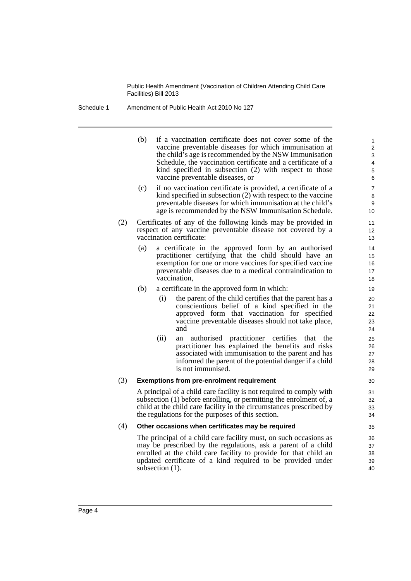#### Schedule 1 Amendment of Public Health Act 2010 No 127

(b) if a vaccination certificate does not cover some of the vaccine preventable diseases for which immunisation at the child's age is recommended by the NSW Immunisation Schedule, the vaccination certificate and a certificate of a kind specified in subsection (2) with respect to those vaccine preventable diseases, or

- (c) if no vaccination certificate is provided, a certificate of a kind specified in subsection (2) with respect to the vaccine preventable diseases for which immunisation at the child's age is recommended by the NSW Immunisation Schedule.
- (2) Certificates of any of the following kinds may be provided in respect of any vaccine preventable disease not covered by a vaccination certificate:
	- (a) a certificate in the approved form by an authorised practitioner certifying that the child should have an exemption for one or more vaccines for specified vaccine preventable diseases due to a medical contraindication to vaccination,
	- (b) a certificate in the approved form in which:
		- (i) the parent of the child certifies that the parent has a conscientious belief of a kind specified in the approved form that vaccination for specified vaccine preventable diseases should not take place, and
		- (ii) an authorised practitioner certifies that the practitioner has explained the benefits and risks associated with immunisation to the parent and has informed the parent of the potential danger if a child is not immunised.

#### (3) **Exemptions from pre-enrolment requirement**

A principal of a child care facility is not required to comply with subsection (1) before enrolling, or permitting the enrolment of, a child at the child care facility in the circumstances prescribed by the regulations for the purposes of this section.

#### (4) **Other occasions when certificates may be required**

The principal of a child care facility must, on such occasions as may be prescribed by the regulations, ask a parent of a child enrolled at the child care facility to provide for that child an updated certificate of a kind required to be provided under subsection  $(1)$ .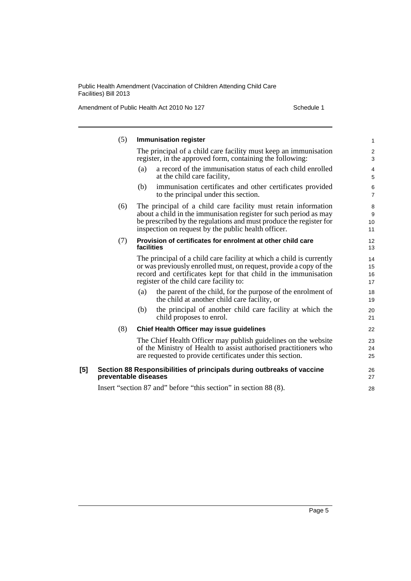Amendment of Public Health Act 2010 No 127 Schedule 1

|       | (5)                                       | <b>Immunisation register</b>                                                                                                                                                                                                                                     | $\mathbf{1}$                    |
|-------|-------------------------------------------|------------------------------------------------------------------------------------------------------------------------------------------------------------------------------------------------------------------------------------------------------------------|---------------------------------|
|       |                                           | The principal of a child care facility must keep an immunisation<br>register, in the approved form, containing the following:                                                                                                                                    | $\boldsymbol{2}$<br>$\mathsf 3$ |
|       |                                           | a record of the immunisation status of each child enrolled<br>(a)<br>at the child care facility,                                                                                                                                                                 | 4<br>5                          |
|       |                                           | immunisation certificates and other certificates provided<br>(b)<br>to the principal under this section.                                                                                                                                                         | $\,6$<br>$\overline{7}$         |
|       | (6)                                       | The principal of a child care facility must retain information<br>about a child in the immunisation register for such period as may<br>be prescribed by the regulations and must produce the register for<br>inspection on request by the public health officer. | 8<br>9<br>10<br>11              |
| (7)   |                                           | Provision of certificates for enrolment at other child care<br>facilities                                                                                                                                                                                        | 12<br>13                        |
|       |                                           | The principal of a child care facility at which a child is currently<br>or was previously enrolled must, on request, provide a copy of the<br>record and certificates kept for that child in the immunisation<br>register of the child care facility to:         | 14<br>15<br>16<br>17            |
|       |                                           | the parent of the child, for the purpose of the enrolment of<br>(a)<br>the child at another child care facility, or                                                                                                                                              | 18<br>19                        |
|       |                                           | the principal of another child care facility at which the<br>(b)<br>child proposes to enrol.                                                                                                                                                                     | 20<br>21                        |
| (8)   | Chief Health Officer may issue guidelines | 22                                                                                                                                                                                                                                                               |                                 |
|       |                                           | The Chief Health Officer may publish guidelines on the website<br>of the Ministry of Health to assist authorised practitioners who<br>are requested to provide certificates under this section.                                                                  | 23<br>24<br>25                  |
| $[5]$ |                                           | Section 88 Responsibilities of principals during outbreaks of vaccine<br>preventable diseases                                                                                                                                                                    | 26<br>27                        |
|       |                                           | Insert "section 87 and" before "this section" in section 88 (8).                                                                                                                                                                                                 | 28                              |